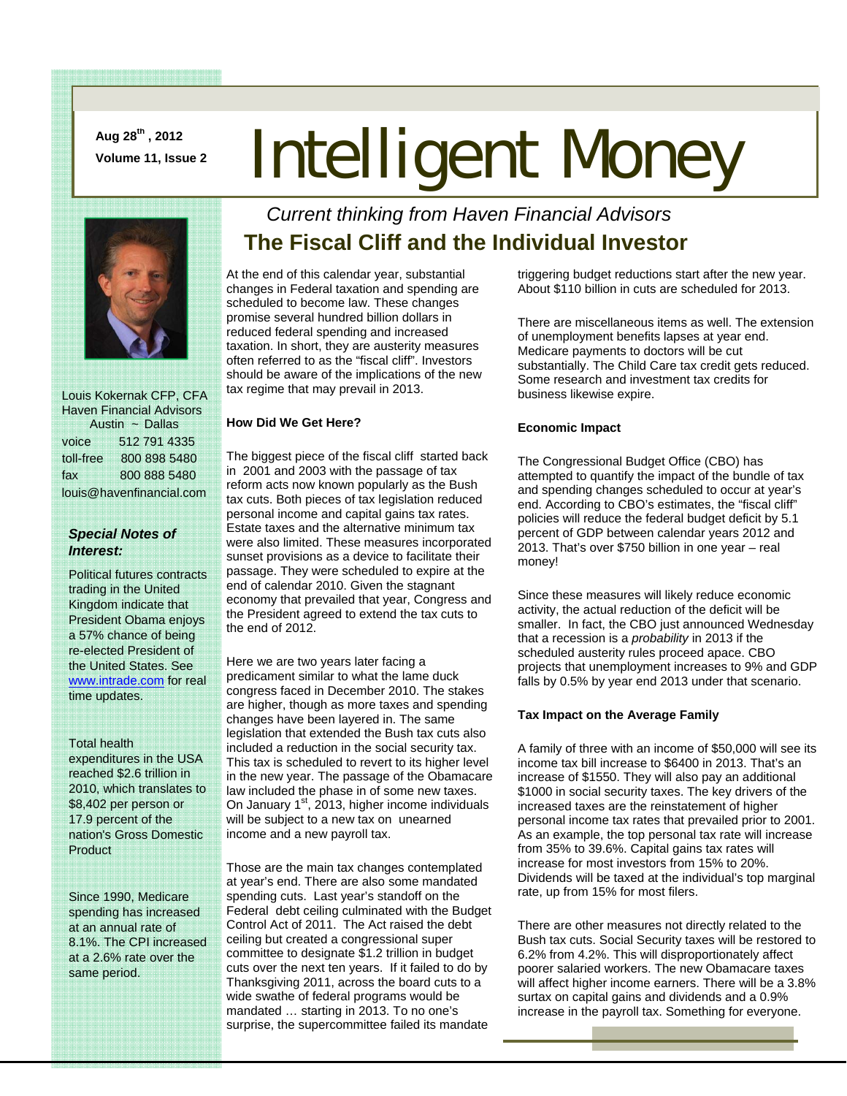**Aug 28th , 2012** 

# Aug 28", 2012<br>Volume 11, Issue 2 **Intelligent Money**



 Louis Kokernak CFP, CFA Haven Financial Advisors Austin ~ Dallas voice 512 791 4335 toll-free 800 898 5480 fax 800 888 5480 louis@havenfinancial.com

#### *Special Notes of Interest:*

Political futures contracts trading in the United Kingdom indicate that President Obama enjoys a 57% chance of being re-elected President of the United States. See www.intrade.com for real time updates.

#### Total health

expenditures in the USA reached \$2.6 trillion in 2010, which translates to \$8,402 per person or 17.9 percent of the nation's Gross Domestic Product

Since 1990, Medicare spending has increased at an annual rate of 8.1%. The CPI increased at a 2.6% rate over the same period.

## *Current thinking from Haven Financial Advisors*  **The Fiscal Cliff and the Individual Investor**

At the end of this calendar year, substantial changes in Federal taxation and spending are scheduled to become law. These changes promise several hundred billion dollars in reduced federal spending and increased taxation. In short, they are austerity measures often referred to as the "fiscal cliff". Investors should be aware of the implications of the new tax regime that may prevail in 2013.

#### **How Did We Get Here?**

The biggest piece of the fiscal cliff started back in 2001 and 2003 with the passage of tax reform acts now known popularly as the Bush tax cuts. Both pieces of tax legislation reduced personal income and capital gains tax rates. Estate taxes and the alternative minimum tax were also limited. These measures incorporated sunset provisions as a device to facilitate their passage. They were scheduled to expire at the end of calendar 2010. Given the stagnant economy that prevailed that year, Congress and the President agreed to extend the tax cuts to the end of 2012.

Here we are two years later facing a predicament similar to what the lame duck congress faced in December 2010. The stakes are higher, though as more taxes and spending changes have been layered in. The same legislation that extended the Bush tax cuts also included a reduction in the social security tax. This tax is scheduled to revert to its higher level in the new year. The passage of the Obamacare law included the phase in of some new taxes. On January  $1<sup>st</sup>$ , 2013, higher income individuals will be subject to a new tax on unearned income and a new payroll tax.

Those are the main tax changes contemplated at year's end. There are also some mandated spending cuts. Last year's standoff on the Federal debt ceiling culminated with the Budget Control Act of 2011. The Act raised the debt ceiling but created a congressional super committee to designate \$1.2 trillion in budget cuts over the next ten years. If it failed to do by Thanksgiving 2011, across the board cuts to a wide swathe of federal programs would be mandated … starting in 2013. To no one's surprise, the supercommittee failed its mandate

triggering budget reductions start after the new year. About \$110 billion in cuts are scheduled for 2013.

There are miscellaneous items as well. The extension of unemployment benefits lapses at year end. Medicare payments to doctors will be cut substantially. The Child Care tax credit gets reduced. Some research and investment tax credits for business likewise expire.

#### **Economic Impact**

The Congressional Budget Office (CBO) has attempted to quantify the impact of the bundle of tax and spending changes scheduled to occur at year's end. According to CBO's estimates, the "fiscal cliff" policies will reduce the federal budget deficit by 5.1 percent of GDP between calendar years 2012 and 2013. That's over \$750 billion in one year – real money!

Since these measures will likely reduce economic activity, the actual reduction of the deficit will be smaller. In fact, the CBO just announced Wednesday that a recession is a *probability* in 2013 if the scheduled austerity rules proceed apace. CBO projects that unemployment increases to 9% and GDP falls by 0.5% by year end 2013 under that scenario.

#### **Tax Impact on the Average Family**

A family of three with an income of \$50,000 will see its income tax bill increase to \$6400 in 2013. That's an increase of \$1550. They will also pay an additional \$1000 in social security taxes. The key drivers of the increased taxes are the reinstatement of higher personal income tax rates that prevailed prior to 2001. As an example, the top personal tax rate will increase from 35% to 39.6%. Capital gains tax rates will increase for most investors from 15% to 20%. Dividends will be taxed at the individual's top marginal rate, up from 15% for most filers.

There are other measures not directly related to the Bush tax cuts. Social Security taxes will be restored to 6.2% from 4.2%. This will disproportionately affect poorer salaried workers. The new Obamacare taxes will affect higher income earners. There will be a 3.8% surtax on capital gains and dividends and a 0.9% increase in the payroll tax. Something for everyone.